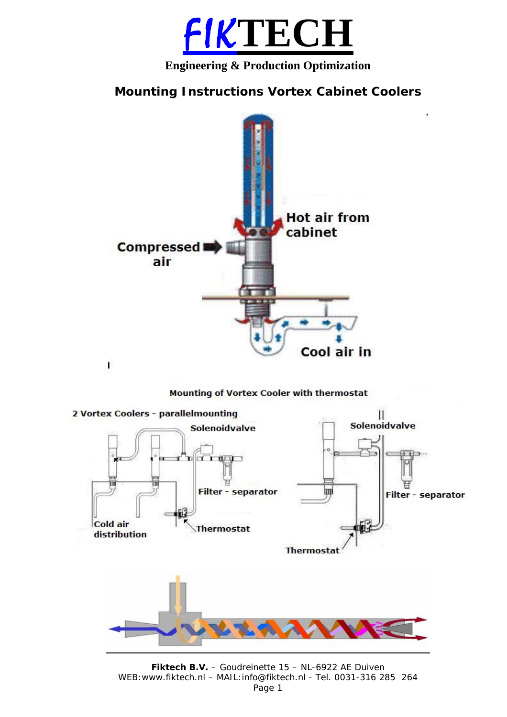

## **Engineering & Production Optimization**

# **Mounting Instructions Vortex Cabinet Coolers**



**Mounting of Vortex Cooler with thermostat** 



**Fiktech B.V.** – Goudreinette 15 – NL-6922 AE Duiven WEB:www.fiktech.nl – MAIL:info@fiktech.nl - Tel. 0031-316 285 264 Page 1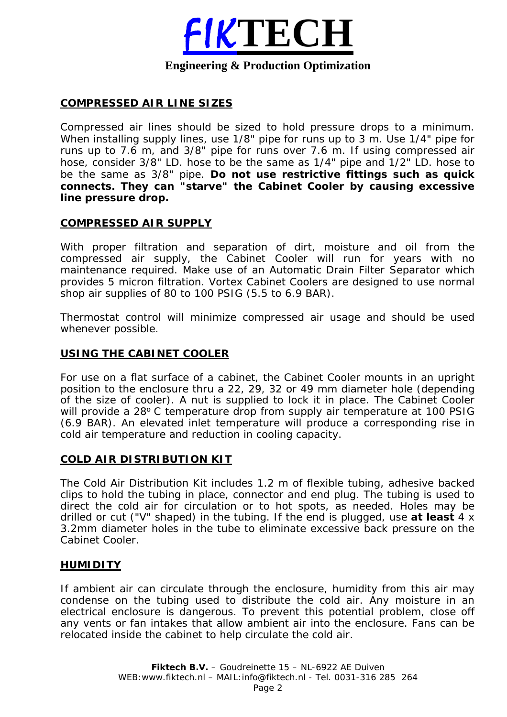

#### **Engineering & Production Optimization**

## **COMPRESSED AIR LINE SIZES**

Compressed air lines should be sized to hold pressure drops to a minimum. When installing supply lines, use 1/8" pipe for runs up to 3 m. Use 1/4" pipe for runs up to 7.6 m, and 3/8" pipe for runs over 7.6 m. If using compressed air hose, consider 3/8" LD. hose to be the same as 1/4" pipe and 1/2" LD. hose to be the same as 3/8" pipe. **Do not use restrictive fittings such as quick connects. They can "starve" the Cabinet Cooler by causing excessive line pressure drop.** 

## **COMPRESSED AIR SUPPLY**

With proper filtration and separation of dirt, moisture and oil from the compressed air supply, the Cabinet Cooler will run for years with no maintenance required. Make use of an Automatic Drain Filter Separator which provides 5 micron filtration. Vortex Cabinet Coolers are designed to use normal shop air supplies of 80 to 100 PSIG (5.5 to 6.9 BAR).

Thermostat control will minimize compressed air usage and should be used whenever possible.

#### **USING THE CABINET COOLER**

For use on a flat surface of a cabinet, the Cabinet Cooler mounts in an upright position to the enclosure thru a 22, 29, 32 or 49 mm diameter hole (depending of the size of cooler). A nut is supplied to lock it in place. The Cabinet Cooler will provide a 28<sup>°</sup> C temperature drop from supply air temperature at 100 PSIG (6.9 BAR). An elevated inlet temperature will produce a corresponding rise in cold air temperature and reduction in cooling capacity.

## **COLD AIR DISTRIBUTION KIT**

The Cold Air Distribution Kit includes 1.2 m of flexible tubing, adhesive backed clips to hold the tubing in place, connector and end plug. The tubing is used to direct the cold air for circulation or to hot spots, as needed. Holes may be drilled or cut ("V" shaped) in the tubing. If the end is plugged, use **at least** 4 x 3.2mm diameter holes in the tube to eliminate excessive back pressure on the Cabinet Cooler.

#### **HUMIDITY**

If ambient air can circulate through the enclosure, humidity from this air may condense on the tubing used to distribute the cold air. Any moisture in an electrical enclosure is dangerous. To prevent this potential problem, close off any vents or fan intakes that allow ambient air into the enclosure. Fans can be relocated inside the cabinet to help circulate the cold air.